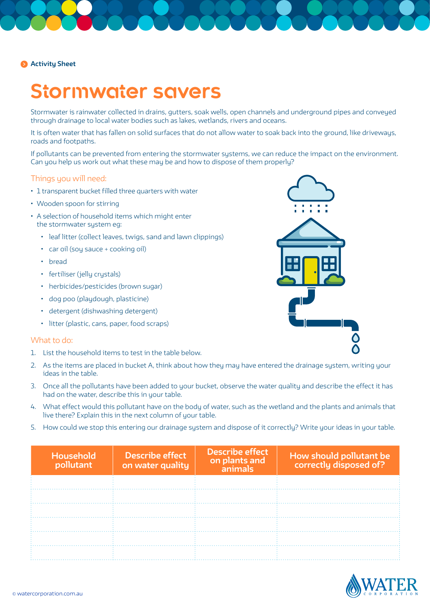## **Activity Sheet**

# **Stormwater savers**

Stormwater is rainwater collected in drains, gutters, soak wells, open channels and underground pipes and conveyed through drainage to local water bodies such as lakes, wetlands, rivers and oceans.

It is often water that has fallen on solid surfaces that do not allow water to soak back into the ground, like driveways, roads and footpaths.

If pollutants can be prevented from entering the stormwater systems, we can reduce the impact on the environment. Can you help us work out what these may be and how to dispose of them properly?

#### Things you will need:

- 1 transparent bucket filled three quarters with water
- Wooden spoon for stirring
- A selection of household items which might enter the stormwater system eg:
	- leaf litter (collect leaves, twigs, sand and lawn clippings)
	- car oil (soy sauce + cooking oil)
	- bread
	- fertiliser (jelly crystals)
	- herbicides/pesticides (brown sugar)
	- dog poo (playdough, plasticine)
	- detergent (dishwashing detergent)
	- litter (plastic, cans, paper, food scraps)

#### What to do:

- 1. List the household items to test in the table below.
- 2. As the items are placed in bucket A, think about how they may have entered the drainage system, writing your ideas in the table.
- 3. Once all the pollutants have been added to your bucket, observe the water quality and describe the effect it has had on the water, describe this in your table.
- 4. What effect would this pollutant have on the body of water, such as the wetland and the plants and animals that live there? Explain this in the next column of your table.
- 5. How could we stop this entering our drainage system and dispose of it correctly? Write your ideas in your table.

| Household<br>pollutant | <b>Describe effect</b><br>on water quality | <b>Describe effect</b><br>on plants and<br>animals | How should pollutant be<br>correctly disposed of? |
|------------------------|--------------------------------------------|----------------------------------------------------|---------------------------------------------------|
|                        |                                            |                                                    |                                                   |
|                        |                                            |                                                    |                                                   |
|                        |                                            |                                                    |                                                   |
|                        |                                            |                                                    |                                                   |
|                        |                                            |                                                    |                                                   |
|                        |                                            |                                                    |                                                   |